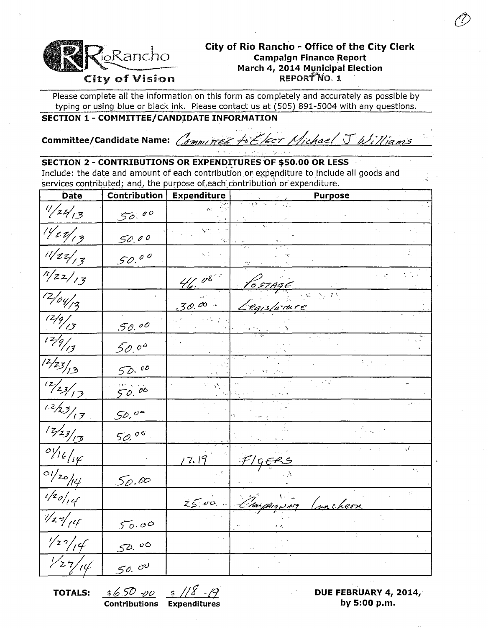

# City of Rio Rancho - Office of the City Clerk **Campaign Finance Report March 4, 2014 Municipal Election**

Please complete all the information on this form as completely and accurately as possible by typing or using blue or black ink. Please contact us at (505) 891-5004 with any questions.

## **SECTION 1 - COMMITTEE/CANDIDATE INFORMATION**

**Committee/Candidate Name:** Committee to Elect Michael J Williams

#### **SECTION 2 - CONTRIBUTIONS OR EXPENDITURES OF \$50.00 OR LESS**

Include: the date and amount of each contribution or expenditure to include all goods and services contributed; and, the purpose of each contribution or expenditure.

| <b>Date</b>                                          | Contribution | <b>Expenditure</b> | <b>Purpose</b>                       |
|------------------------------------------------------|--------------|--------------------|--------------------------------------|
| $^{11}/22/13$                                        | 50.00        |                    |                                      |
| 11/12/13                                             | 50.00        |                    |                                      |
| 11/22/13                                             | 50.00        |                    |                                      |
| $\frac{1}{1/22}/\frac{3}{7}$                         |              | $\frac{4}{6}$ 08   | POSTAGE                              |
| $\sqrt{2/\sigma_{1/2}}$                              |              | $30.00 -$          | Caislance                            |
| $\frac{12/9}{13}$                                    | 50.00        |                    |                                      |
| $\frac{17}{17}$                                      | 50.00        |                    |                                      |
| $\sqrt{\frac{12}{23}}/3$                             | 50.00        |                    |                                      |
| $\frac{12}{23/13}$                                   | 50.00        |                    |                                      |
| $\frac{1.2}{2}$                                      | 50,00        |                    |                                      |
| 12/23/13                                             | 50.00        |                    |                                      |
| $\frac{\partial y_{\ell}}{\partial \psi}$            |              | 17.19              | $\sqrt{}$<br><u>F/GERS</u>           |
| $\frac{1}{\frac{1}{20}}$                             | 50.00        |                    | v,<br>$\epsilon - i$                 |
| $\frac{1}{20}$                                       |              | $25.00 -$          | γř.<br>Camphiguing<br><u>uncheon</u> |
| $\overline{\mathscr{V}}$ $\mathscr{A}_{\mathscr{C}}$ | 50.00        |                    |                                      |
| 1/27/14                                              | 50.00        |                    |                                      |
| $\frac{1}{27/14}$                                    | 50.00        |                    |                                      |

**Contributions Expenditures by 5:00 p.m.** 

**TOTALS:**  $\frac{\frac{4}{3}650 - 00}{500}$   $\frac{\frac{4}{3}$  // *S* -/9 **DUE FEBRUARY 4, 2014,**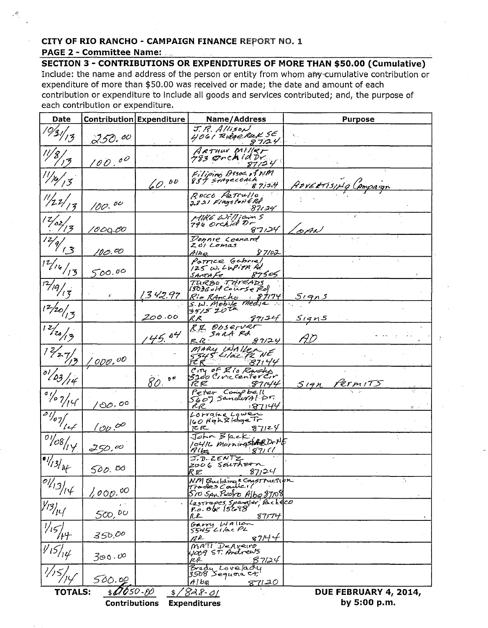### CITY OF RIO RANCHO - CAMPAIGN FINANCE REPORT NO. 1

#### **PAGE 2 - Committee Name:**

Æ

**SECTION 3 - CONTRIBUTIONS OR EXPENDITURES OF MORE THAN \$50.00 (Cumulative)** Include: the name and address of the person or entity from whom any cumulative contribution or expenditure of more than \$50.00 was received or made; the date and amount of each contribution or expenditure to include all goods and services contributed; and, the purpose of each contribution or expenditure.

| Date                                                                                                                                             | <b>Contribution Expenditure</b> |         | Name/Address                                                             | <b>Purpose</b>       |  |  |  |
|--------------------------------------------------------------------------------------------------------------------------------------------------|---------------------------------|---------|--------------------------------------------------------------------------|----------------------|--|--|--|
| $\sqrt{931/13}$                                                                                                                                  | 250. º <sup>0</sup>             |         | J.R. Allison<br>4061 Ridge Rak SE<br>87124                               |                      |  |  |  |
|                                                                                                                                                  | 100.00                          |         | ARTHUN Miller<br>783 OrchidDr<br>87/24                                   |                      |  |  |  |
| $\frac{1}{2}$ / $\frac{1}{3}$                                                                                                                    |                                 | 60.00   | Filipino Assoc. of NM<br>837 STAGECOACK<br>87/14                         | ADVERTISING CAMPAIGN |  |  |  |
| $\frac{1}{2}$                                                                                                                                    | 100.00                          |         | ROCCO PETTULIO.<br>2321 Fingston & Rd<br>87124                           |                      |  |  |  |
| 12/62/12                                                                                                                                         | 1000.OO                         |         | Hike William 5<br>796 orchid Dr<br>87124                                 | oAN                  |  |  |  |
| $\frac{17}{9}$                                                                                                                                   | 'VO. <sup>0</sup> 0             |         | Donnie Leonard<br>Zoi Lomas<br>87/02<br>$A/h_Q$                          |                      |  |  |  |
| $1^2/16/13$                                                                                                                                      | 500.00                          |         | Parrice Gabriel<br>125 W. LUPITA Rd<br>87505<br>SANTA Fe                 |                      |  |  |  |
| $\frac{1}{2}$ /19/13                                                                                                                             | $\mathbf{y}^{\star}$            | 1342.97 | TURBO THREADS<br>$15036$ off Course $720$<br><u>Rio Rancho</u><br>87174  | <u> 5 i que s</u>    |  |  |  |
| $1^{2}/20/7$                                                                                                                                     |                                 | 200.00  | $5.4.$ Mobile media<br>RR<br>97124                                       | <u>Signs</u>         |  |  |  |
| 12/20/3                                                                                                                                          |                                 | 45.84   | RI Observer<br>SARA RR<br>87/24<br>R R :                                 | AD                   |  |  |  |
| 12/27/2                                                                                                                                          | <u>000,00 '</u>                 |         | MARY WALLER NE<br>87144<br>TC R                                          |                      |  |  |  |
| $0^{0}/23/14$                                                                                                                                    |                                 | 80.00   | CITY OF Rio Ranches<br>3200 Civic center Cir<br>87144<br>RR              | SIAN Permits         |  |  |  |
| $\frac{1}{\sqrt{2}}$                                                                                                                             | /00.00                          |         | Peter Compbell<br>5607 Sandwral Dr.<br><u>1871</u> 44<br>RR              |                      |  |  |  |
| $\frac{1}{\frac{1}{2}\frac{1}{2}}$                                                                                                               | 100.00                          |         | Lorraine Lower<br>160 HighTRidge Tr<br>87124<br>たに                       |                      |  |  |  |
| $\frac{1}{\frac{1}{2}}$                                                                                                                          | 250,00                          |         | John Black,<br>1041L Morningstate Drilf<br>HIbe                          |                      |  |  |  |
| $\sqrt{\frac{1}{2}}$                                                                                                                             | 500.00                          |         | J.D. ZENTZ<br>2006 Saithern<br>RE<br>87,24                               |                      |  |  |  |
| $\frac{\partial l}{\partial y}$                                                                                                                  | 1,000.00                        |         | NM Building & CONSTTUCTION<br>Trades Canner!<br>510 SAN Pedro Albo 87108 | Ъ.                   |  |  |  |
| $\overline{\mathcal{V}^{\prime}}$                                                                                                                | 500,00                          |         | Lastrapes Spangler, Pacheco<br>P.o. Ogr 15698<br>R£<br>87174             |                      |  |  |  |
|                                                                                                                                                  | 350.00                          |         | Garry Wallon<br>$5545$ Like PL<br>87/44<br>r R                           |                      |  |  |  |
|                                                                                                                                                  | $300 \cdot 60$                  |         | MATI DeAveiro<br>YOOP ST. Andrews<br>ĸr<br><u>87124</u>                  |                      |  |  |  |
|                                                                                                                                                  | 500.00                          |         | Brady Lovelady<br>3508 Segueia Ct.<br>A/bq<br>87120                      |                      |  |  |  |
| $$0050-80$<br><b>TOTALS:</b><br>1828-01<br>DUE FEBRUARY 4, 2014,<br>$\frac{1}{2}$<br>by 5:00 p.m.<br><b>Contributions</b><br><b>Expenditures</b> |                                 |         |                                                                          |                      |  |  |  |